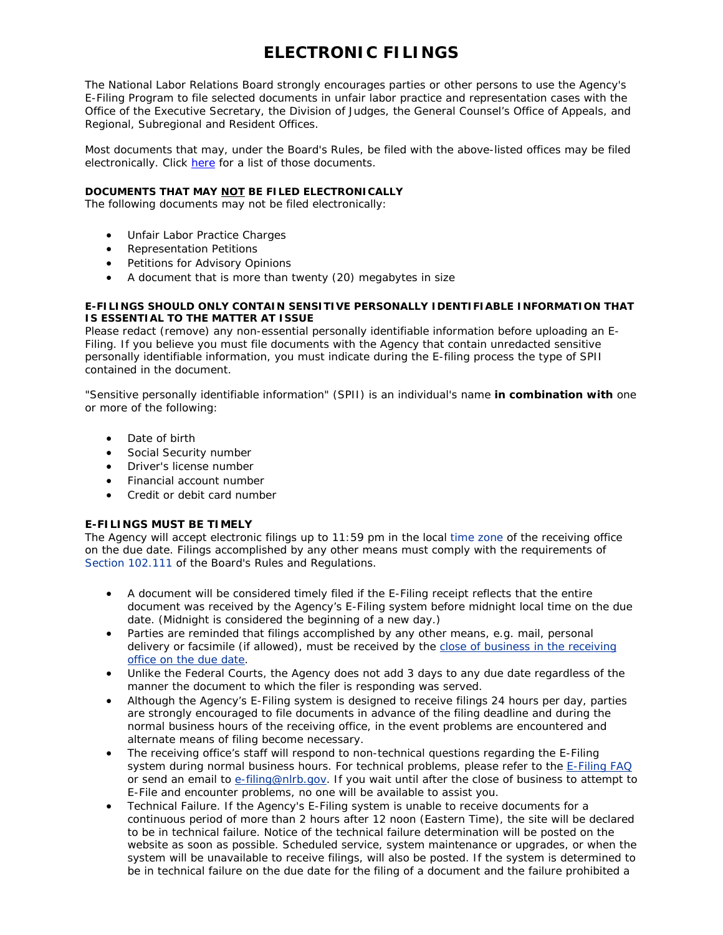# **ELECTRONIC FILINGS**

The National Labor Relations Board strongly encourages parties or other persons to use the Agency's E-Filing Program to file selected documents in unfair labor practice and representation cases with the Office of the Executive Secretary, the Division of Judges, the General Counsel's Office of Appeals, and Regional, Subregional and Resident Offices.

Most documents that may, under the Board's Rules, be filed with the above-listed offices may be filed electronically. Click [here](http://www.nlrb.gov/faq/questions/what-documents-can-i-e-file) for a list of those documents.

## **DOCUMENTS THAT MAY NOT BE FILED ELECTRONICALLY**

The following documents may not be filed electronically:

- Unfair Labor Practice Charges
- Representation Petitions
- Petitions for Advisory Opinions
- A document that is more than twenty (20) megabytes in size

## **E-FILINGS SHOULD ONLY CONTAIN SENSITIVE PERSONALLY IDENTIFIABLE INFORMATION THAT IS ESSENTIAL TO THE MATTER AT ISSUE**

Please redact (remove) any non-essential personally identifiable information before uploading an E-Filing. If you believe you must file documents with the Agency that contain unredacted sensitive personally identifiable information, you must indicate during the E-filing process the type of SPII contained in the document.

"Sensitive personally identifiable information" (SPII) is an individual's name *in combination with* one or more of the following:

- Date of birth
- Social Security number
- Driver's license number
- Financial account number
- Credit or debit card number

## **E-FILINGS MUST BE TIMELY**

The Agency will accept electronic filings up to 11:59 pm in the local [time zone](http://www.nlrb.gov/who-we-are/regional-offices) of the receiving office on the due date. Filings accomplished by any other means must comply with the requirements of [Section 102.111](http://www.nlrb.gov/sites/default/files/documents/254/part102.pdf#page=56) of the Board's Rules and Regulations.

- A document will be considered timely filed if the E-Filing receipt reflects that the entire document was received by the Agency's E-Filing system before midnight local time on the due date. (Midnight is considered the beginning of a new day.)
- Parties are reminded that filings accomplished by any other means, e.g. mail, personal delivery or facsimile (if allowed), must be received by the close of business in the receiving [office on the due date](http://www.nlrb.gov/sites/default/files/documents/254/part102.pdf#page=108).
- Unlike the Federal Courts, the Agency does not add 3 days to any due date regardless of the manner the document to which the filer is responding was served.
- Although the Agency's E-Filing system is designed to receive filings 24 hours per day, parties are strongly encouraged to file documents in advance of the filing deadline and during the normal business hours of the receiving office, in the event problems are encountered and alternate means of filing become necessary.
- The receiving office's staff will respond to non-technical questions regarding the E-Filing system during normal business hours. For technical problems, please refer to the [E-Filing FAQ](http://www.nlrb.gov/faq/efiling-eservice) or send an email to [e-filing@nlrb.gov.](mailto:e-filing@nlrb.gov) If you wait until after the close of business to attempt to E-File and encounter problems, no one will be available to assist you.
- Technical Failure. If the Agency's E-Filing system is unable to receive documents for a continuous period of more than 2 hours after 12 noon (Eastern Time), the site will be declared to be in technical failure. Notice of the technical failure determination will be posted on the website as soon as possible. Scheduled service, system maintenance or upgrades, or when the system will be unavailable to receive filings, will also be posted. If the system is determined to be in technical failure on the due date for the filing of a document and the failure prohibited a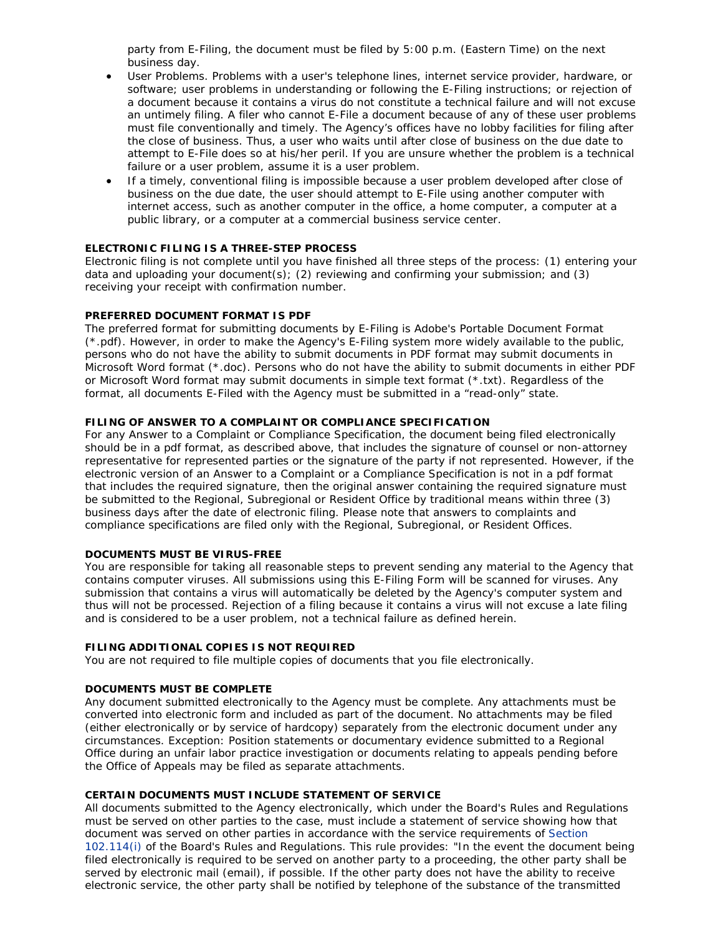party from E-Filing, the document must be filed by 5:00 p.m. (Eastern Time) on the next business day.

- User Problems. Problems with a user's telephone lines, internet service provider, hardware, or software; user problems in understanding or following the E-Filing instructions; or rejection of a document because it contains a virus do not constitute a technical failure and will not excuse an untimely filing. A filer who cannot E-File a document because of any of these user problems must file conventionally and timely. The Agency's offices have no lobby facilities for filing after the close of business. Thus, a user who waits until after close of business on the due date to attempt to E-File does so at his/her peril. If you are unsure whether the problem is a technical failure or a user problem, assume it is a user problem.
- If a timely, conventional filing is impossible because a user problem developed after close of business on the due date, the user should attempt to E-File using another computer with internet access, such as another computer in the office, a home computer, a computer at a public library, or a computer at a commercial business service center.

## **ELECTRONIC FILING IS A THREE-STEP PROCESS**

Electronic filing is not complete until you have finished all three steps of the process: (1) entering your data and uploading your document(s); (2) reviewing and confirming your submission; and (3) receiving your receipt with confirmation number.

## **PREFERRED DOCUMENT FORMAT IS PDF**

The preferred format for submitting documents by E-Filing is Adobe's Portable Document Format (\*.pdf). However, in order to make the Agency's E-Filing system more widely available to the public, persons who do not have the ability to submit documents in PDF format may submit documents in Microsoft Word format (\*.doc). Persons who do not have the ability to submit documents in either PDF or Microsoft Word format may submit documents in simple text format (\*.txt). Regardless of the format, all documents E-Filed with the Agency must be submitted in a "read-only" state.

# **FILING OF ANSWER TO A COMPLAINT OR COMPLIANCE SPECIFICATION**

For any Answer to a Complaint or Compliance Specification, the document being filed electronically should be in a pdf format, as described above, that includes the signature of counsel or non-attorney representative for represented parties or the signature of the party if not represented. However, if the electronic version of an Answer to a Complaint or a Compliance Specification is not in a pdf format that includes the required signature, then the original answer containing the required signature must be submitted to the Regional, Subregional or Resident Office by traditional means within three (3) business days after the date of electronic filing. Please note that answers to complaints and compliance specifications are filed only with the Regional, Subregional, or Resident Offices.

#### **DOCUMENTS MUST BE VIRUS-FREE**

You are responsible for taking all reasonable steps to prevent sending any material to the Agency that contains computer viruses. All submissions using this E-Filing Form will be scanned for viruses. Any submission that contains a virus will automatically be deleted by the Agency's computer system and thus will not be processed. Rejection of a filing because it contains a virus will not excuse a late filing and is considered to be a user problem, not a technical failure as defined herein.

#### **FILING ADDITIONAL COPIES IS NOT REQUIRED**

You are not required to file multiple copies of documents that you file electronically.

## **DOCUMENTS MUST BE COMPLETE**

Any document submitted electronically to the Agency must be complete. Any attachments must be converted into electronic form and included as part of the document. No attachments may be filed (either electronically or by service of hardcopy) separately from the electronic document under any circumstances. Exception: Position statements or documentary evidence submitted to a Regional Office during an unfair labor practice investigation or documents relating to appeals pending before the Office of Appeals may be filed as separate attachments.

#### **CERTAIN DOCUMENTS MUST INCLUDE STATEMENT OF SERVICE**

All documents submitted to the Agency electronically, which under the Board's Rules and Regulations must be served on other parties to the case, must include a statement of service showing how that document was served on other parties in accordance with the service requirements of [Section](http://www.nlrb.gov/sites/default/files/documents/254/part102.pdf#page=59)  [102.114\(i\)](http://www.nlrb.gov/sites/default/files/documents/254/part102.pdf#page=59) of the Board's Rules and Regulations. This rule provides: "In the event the document being filed electronically is required to be served on another party to a proceeding, the other party shall be served by electronic mail (email), if possible. If the other party does not have the ability to receive electronic service, the other party shall be notified by telephone of the substance of the transmitted